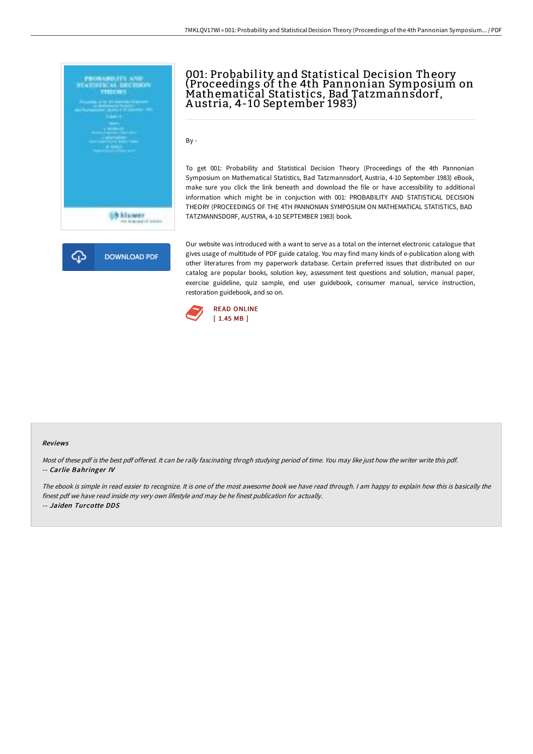

# 001: Probability and Statistical Decision Theory (Proceedings of the 4th Pannonian Symposium on Mathematical Statistics, Bad Tatzmannsdorf, A ustria, 4-10 September 1983)

By -

To get 001: Probability and Statistical Decision Theory (Proceedings of the 4th Pannonian Symposium on Mathematical Statistics, Bad Tatzmannsdorf, Austria, 4-10 September 1983) eBook, make sure you click the link beneath and download the file or have accessibility to additional information which might be in conjuction with 001: PROBABILITY AND STATISTICAL DECISION THEORY (PROCEEDINGS OF THE 4TH PANNONIAN SYMPOSIUM ON MATHEMATICAL STATISTICS, BAD TATZMANNSDORF, AUSTRIA, 4-10 SEPTEMBER 1983) book.



Our website was introduced with a want to serve as a total on the internet electronic catalogue that gives usage of multitude of PDF guide catalog. You may find many kinds of e-publication along with other literatures from my paperwork database. Certain preferred issues that distributed on our catalog are popular books, solution key, assessment test questions and solution, manual paper, exercise guideline, quiz sample, end user guidebook, consumer manual, service instruction, restoration guidebook, and so on.



#### Reviews

Most of these pdf is the best pdf offered. It can be rally fascinating throgh studying period of time. You may like just how the writer write this pdf. -- Carlie Bahringer IV

The ebook is simple in read easier to recognize. It is one of the most awesome book we have read through. <sup>I</sup> am happy to explain how this is basically the finest pdf we have read inside my very own lifestyle and may be he finest publication for actually. -- Jaiden Turcotte DDS